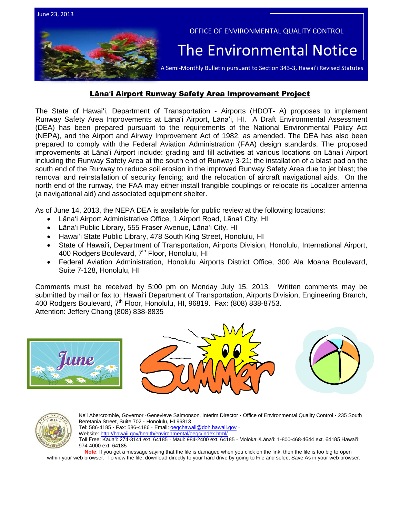

## Lāna**ʻ**i Airport Runway Safety Area Improvement Project

The State of Hawaiʻi, Department of Transportation - Airports (HDOT- A) proposes to implement Runway Safety Area Improvements at Lānaʻi Airport, Lānaʻi, HI. A Draft Environmental Assessment (DEA) has been prepared pursuant to the requirements of the National Environmental Policy Act (NEPA), and the Airport and Airway Improvement Act of 1982, as amended. The DEA has also been prepared to comply with the Federal Aviation Administration (FAA) design standards. The proposed improvements at Lānaʻi Airport include: grading and fill activities at various locations on Lānaʻi Airport including the Runway Safety Area at the south end of Runway 3-21; the installation of a blast pad on the south end of the Runway to reduce soil erosion in the improved Runway Safety Area due to jet blast; the removal and reinstallation of security fencing; and the relocation of aircraft navigational aids. On the north end of the runway, the FAA may either install frangible couplings or relocate its Localizer antenna (a navigational aid) and associated equipment shelter.

As of June 14, 2013, the NEPA DEA is available for public review at the following locations:

- Lānaʻi Airport Administrative Office, 1 Airport Road, Lānaʻi City, HI
- Lānaʻi Public Library, 555 Fraser Avenue, Lānaʻi City, HI
- Hawai'i State Public Library, 478 South King Street, Honolulu, HI
- State of Hawaiʻi, Department of Transportation, Airports Division, Honolulu, International Airport, 400 Rodgers Boulevard, 7<sup>th</sup> Floor, Honolulu, HI
- Federal Aviation Administration, Honolulu Airports District Office, 300 Ala Moana Boulevard, Suite 7-128, Honolulu, HI

Comments must be received by 5:00 pm on Monday July 15, 2013. Written comments may be submitted by mail or fax to: Hawaiʻi Department of Transportation, Airports Division, Engineering Branch, 400 Rodgers Boulevard, 7<sup>th</sup> Floor, Honolulu, HI, 96819. Fax: (808) 838-8753. Attention: Jeffery Chang (808) 838-8835









Neil Abercrombie, Governor ·Genevieve Salmonson, Interim Director · Office of Environmental Quality Control · 235 South Beretania Street, Suite 702 · Honolulu, HI 96813 Tel: 586-4185 · Fax: 586-4186 · Email[: oeqchawaii@doh.hawaii.gov](mailto:oeqchawaii@doh.hawaii.gov) · Website:<http://hawaii.gov/health/environmental/oeqc/index.html/> Toll Free: Kauaʻi: 274-3141 ext. 64185 · Maui: 984-2400 ext. 64185 · Molokaʻi/Lānaʻi: 1-800-468-4644 ext. 64185 Hawaiʻi: 974-4000 ext. 64185

**Note**: If you get a message saying that the file is damaged when you click on the link, then the file is too big to open

within your web browser. To view the file, download directly to your hard drive by going to File and select Save As in your web browser.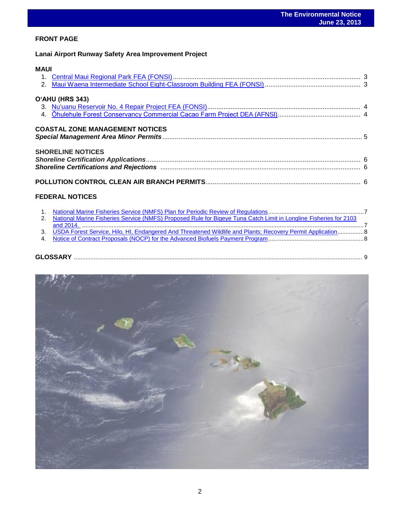## **FRONT PAGE**

**Lanai Airport Runway Safety Area Improvement Project** 

## **MAUI**

| O'AHU (HRS 343)                        |  |
|----------------------------------------|--|
| <b>COASTAL ZONE MANAGEMENT NOTICES</b> |  |
| <b>SHORELINE NOTICES</b>               |  |
|                                        |  |

## **FEDERAL NOTICES**

| 2. National Marine Fisheries Service (NMFS) Proposed Rule for Bigeye Tuna Catch Limit in Longline Fisheries for 2103 |  |
|----------------------------------------------------------------------------------------------------------------------|--|
|                                                                                                                      |  |
| 3. USDA Forest Service, Hilo, HI, Endangered And Threatened Wildlife and Plants: Recovery Permit Application 8       |  |
|                                                                                                                      |  |
|                                                                                                                      |  |
|                                                                                                                      |  |
| $\mathbf{r}$ $\mathbf{r}$                                                                                            |  |



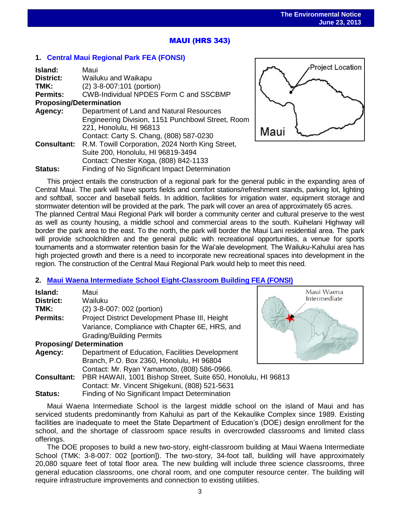## .<br>. MAUI (HRS 343)

## **1. [Central Maui Regional Park](http://oeqc.doh.hawaii.gov/Shared%20Documents/EA_and_EIS_Online_Library/Maui/2010s/2013-06-23-MA-FEA%20Central%20Maui%20Regional%20Park.pdf) FEA (FONSI)**

| Island:                                             | Maui                                              |  |
|-----------------------------------------------------|---------------------------------------------------|--|
| District:                                           | Wailuku and Waikapu                               |  |
| TMK:                                                | (2) 3-8-007:101 (portion)                         |  |
| <b>Permits:</b>                                     | <b>CWB-Individual NPDES Form C and SSCBMP</b>     |  |
| <b>Proposing/Determination</b>                      |                                                   |  |
| Department of Land and Natural Resources<br>Agency: |                                                   |  |
|                                                     | Engineering Division, 1151 Punchbowl Street, Room |  |
|                                                     | 221, Honolulu, HI 96813                           |  |
|                                                     | Contact: Carty S. Chang, (808) 587-0230           |  |
| <b>Consultant:</b>                                  | R.M. Towill Corporation, 2024 North King Street,  |  |
|                                                     | Suite 200, Honolulu, HI 96819-3494                |  |
|                                                     | Contact: Chester Koga, (808) 842-1133             |  |
| <b>Status:</b>                                      | Finding of No Significant Impact Determination    |  |



Maui Waena Intermediate

This project entails the construction of a regional park for the general public in the expanding area of Central Maui. The park will have sports fields and comfort stations/refreshment stands, parking lot, lighting and softball, soccer and baseball fields. In addition, facilities for irrigation water, equipment storage and stormwater detention will be provided at the park. The park will cover an area of approximately 65 acres.

The planned Central Maui Regional Park will border a community center and cultural preserve to the west as well as county housing, a middle school and commercial areas to the south. Kuihelani Highway will border the park area to the east. To the north, the park will border the Maui Lani residential area. The park will provide schoolchildren and the general public with recreational opportunities, a venue for sports tournaments and a stormwater retention basin for the Wai'ale development. The Wailuku-Kahului area has high projected growth and there is a need to incorporate new recreational spaces into development in the region. The construction of the Central Maui Regional Park would help to meet this need.

## **2. [Maui Waena Intermediate School Eight-Classroom Building](http://oeqc.doh.hawaii.gov/Shared%20Documents/EA_and_EIS_Online_Library/Maui/2010s/2013-06-23-MA-5B-FEA-Maui-Waena-Intermediate-School-Eight-Classroom-Building.pdf) FEA (FONSI)**

| Island:            | Maui                                                          |  |
|--------------------|---------------------------------------------------------------|--|
| <b>District:</b>   | Wailuku                                                       |  |
| TMK:               | (2) 3-8-007: 002 (portion)                                    |  |
| <b>Permits:</b>    | Project District Development Phase III, Height                |  |
|                    | Variance, Compliance with Chapter 6E, HRS, and                |  |
|                    | <b>Grading/Building Permits</b>                               |  |
|                    | <b>Proposing/Determination</b>                                |  |
| Agency:            | Department of Education, Facilities Development               |  |
|                    | Branch, P.O. Box 2360, Honolulu, HI 96804                     |  |
|                    | Contact: Mr. Ryan Yamamoto, (808) 586-0966.                   |  |
| <b>Consultant:</b> | PBR HAWAII, 1001 Bishop Street, Suite 650, Honolulu, HI 96813 |  |
|                    | Contact: Mr. Vincent Shigekuni, (808) 521-5631                |  |
| Status:            | Finding of No Significant Impact Determination                |  |

Maui Waena Intermediate School is the largest middle school on the island of Maui and has serviced students predominantly from Kahului as part of the Kekaulike Complex since 1989. Existing facilities are inadequate to meet the State Department of Education's (DOE) design enrollment for the school, and the shortage of classroom space results in overcrowded classrooms and limited class offerings.

The DOE proposes to build a new two-story, eight-classroom building at Maui Waena Intermediate School (TMK: 3-8-007: 002 [portion]). The two-story, 34-foot tall, building will have approximately 20,080 square feet of total floor area. The new building will include three science classrooms, three general education classrooms, one choral room, and one computer resource center. The building will require infrastructure improvements and connection to existing utilities.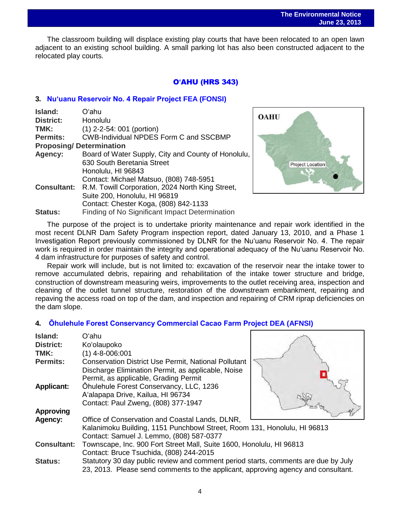The classroom building will displace existing play courts that have been relocated to an open lawn adjacent to an existing school building. A small parking lot has also been constructed adjacent to the relocated play courts.

## O**ʻ**AHU (HRS 343)

## **3. [Nu'uanu Reservoir No. 4 Repair Project](http://oeqc.doh.hawaii.gov/Shared%20Documents/EA_and_EIS_Online_Library/Oahu/2010s/2013-06-23-OA-5B-Nuuanu-Reservoir-No-4-Repair-Project.pdf) FEA (FONSI)**

| Island:                        | Oʻahu                                               |
|--------------------------------|-----------------------------------------------------|
| <b>District:</b>               | Honolulu                                            |
| TMK:                           | $(1)$ 2-2-54: 001 (portion)                         |
| <b>Permits:</b>                | <b>CWB-Individual NPDES Form C and SSCBMP</b>       |
| <b>Proposing/Determination</b> |                                                     |
| Agency:                        | Board of Water Supply, City and County of Honolulu, |
|                                | 630 South Beretania Street                          |
|                                | Honolulu, HI 96843                                  |
|                                | Contact: Michael Matsuo, (808) 748-5951             |
| <b>Consultant:</b>             | R.M. Towill Corporation, 2024 North King Street,    |
|                                | Suite 200, Honolulu, HI 96819                       |
|                                | Contact: Chester Koga, (808) 842-1133               |
| <b>Status:</b>                 | Finding of No Significant Impact Determination      |



The purpose of the project is to undertake priority maintenance and repair work identified in the most recent DLNR Dam Safety Program inspection report, dated January 13, 2010, and a Phase 1 Investigation Report previously commissioned by DLNR for the Nu'uanu Reservoir No. 4. The repair work is required in order maintain the integrity and operational adequacy of the Nu'uanu Reservoir No. 4 dam infrastructure for purposes of safety and control.

Repair work will include, but is not limited to: excavation of the reservoir near the intake tower to remove accumulated debris, repairing and rehabilitation of the intake tower structure and bridge, construction of downstream measuring weirs, improvements to the outlet receiving area, inspection and cleaning of the outlet tunnel structure, restoration of the downstream embankment, repairing and repaving the access road on top of the dam, and inspection and repairing of CRM riprap deficiencies on the dam slope.

## **4. [Ōhulehule Forest Conservancy Commercial Cacao Farm Project](http://oeqc.doh.hawaii.gov/Shared%20Documents/EA_and_EIS_Online_Library/Oahu/2010s/2013-06-23-OA-5E-DEA-Ohulehule-Forest-Conservancy-Cacao-Farm.pdf) DEA (AFNSI)**

| Island:            | Oʻahu                                                                              |  |
|--------------------|------------------------------------------------------------------------------------|--|
| <b>District:</b>   | Ko'olaupoko                                                                        |  |
| TMK:               | $(1)$ 4-8-006:001                                                                  |  |
| <b>Permits:</b>    | <b>Conservation District Use Permit, National Pollutant</b>                        |  |
|                    | Discharge Elimination Permit, as applicable, Noise                                 |  |
|                    | Permit, as applicable, Grading Permit                                              |  |
| <b>Applicant:</b>  | Ohulehule Forest Conservancy, LLC, 1236                                            |  |
|                    | A'alapapa Drive, Kailua, HI 96734                                                  |  |
|                    | Contact: Paul Zweng, (808) 377-1947                                                |  |
| <b>Approving</b>   |                                                                                    |  |
| Agency:            | Office of Conservation and Coastal Lands, DLNR,                                    |  |
|                    | Kalanimoku Building, 1151 Punchbowl Street, Room 131, Honolulu, HI 96813           |  |
|                    | Contact: Samuel J. Lemmo, (808) 587-0377                                           |  |
| <b>Consultant:</b> | Townscape, Inc. 900 Fort Street Mall, Suite 1600, Honolulu, HI 96813               |  |
|                    | Contact: Bruce Tsuchida, (808) 244-2015                                            |  |
| <b>Status:</b>     | Statutory 30 day public review and comment period starts, comments are due by July |  |
|                    | 23, 2013. Please send comments to the applicant, approving agency and consultant.  |  |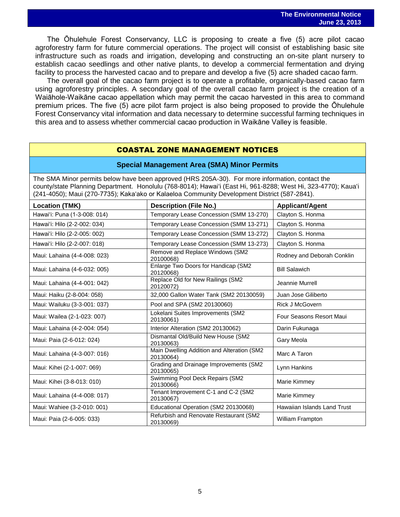The Ōhulehule Forest Conservancy, LLC is proposing to create a five (5) acre pilot cacao agroforestry farm for future commercial operations. The project will consist of establishing basic site infrastructure such as roads and irrigation, developing and constructing an on-site plant nursery to establish cacao seedlings and other native plants, to develop a commercial fermentation and drying facility to process the harvested cacao and to prepare and develop a five (5) acre shaded cacao farm.

The overall goal of the cacao farm project is to operate a profitable, organically-based cacao farm using agroforestry principles. A secondary goal of the overall cacao farm project is the creation of a Waiāhole-Waikāne cacao appellation which may permit the cacao harvested in this area to command premium prices. The five (5) acre pilot farm project is also being proposed to provide the Ōhulehule Forest Conservancy vital information and data necessary to determine successful farming techniques in this area and to assess whether commercial cacao production in Waikāne Valley is feasible.

## COASTAL ZONE MANAGEMENT NOTICES

#### **Special Management Area (SMA) Minor Permits**

The SMA Minor permits below have been approved (HRS 205A-30). For more information, contact the county/state Planning Department. Honolulu (768-8014); Hawaiʻi (East Hi, 961-8288; West Hi, 323-4770); Kauaʻi (241-4050); Maui (270-7735); Kakaʻako or Kalaeloa Community Development District (587-2841).

| <b>Location (TMK)</b>        | <b>Description (File No.)</b>                           | <b>Applicant/Agent</b>      |
|------------------------------|---------------------------------------------------------|-----------------------------|
| Hawai'i: Puna (1-3-008: 014) | Temporary Lease Concession (SMM 13-270)                 | Clayton S. Honma            |
| Hawai'i: Hilo (2-2-002: 034) | Temporary Lease Concession (SMM 13-271)                 | Clayton S. Honma            |
| Hawai'i: Hilo (2-2-005: 002) | Temporary Lease Concession (SMM 13-272)                 | Clayton S. Honma            |
| Hawai'i: Hilo (2-2-007: 018) | Temporary Lease Concession (SMM 13-273)                 | Clayton S. Honma            |
| Maui: Lahaina (4-4-008: 023) | Remove and Replace Windows (SM2<br>20100068)            | Rodney and Deborah Conklin  |
| Maui: Lahaina (4-6-032: 005) | Enlarge Two Doors for Handicap (SM2<br>20120068)        | <b>Bill Salawich</b>        |
| Maui: Lahaina (4-4-001: 042) | Replace Old for New Railings (SM2<br>20120072)          | Jeannie Murrell             |
| Maui: Haiku (2-8-004: 058)   | 32,000 Gallon Water Tank (SM2 20130059)                 | Juan Jose Giliberto         |
| Maui: Wailuku (3-3-001: 037) | Pool and SPA (SM2 20130060)                             | <b>Rick J McGovern</b>      |
| Maui: Wailea (2-1-023: 007)  | Lokelani Suites Improvements (SM2<br>20130061)          | Four Seasons Resort Maui    |
| Maui: Lahaina (4-2-004: 054) | Interior Alteration (SM2 20130062)                      | Darin Fukunaga              |
| Maui: Paia (2-6-012: 024)    | Dismantal Old/Build New House (SM2<br>20130063)         | Gary Meola                  |
| Maui: Lahaina (4-3-007: 016) | Main Dwelling Addition and Alteration (SM2<br>20130064) | Marc A Taron                |
| Maui: Kihei (2-1-007: 069)   | Grading and Drainage Improvements (SM2<br>20130065)     | Lynn Hankins                |
| Maui: Kihei (3-8-013: 010)   | Swimming Pool Deck Repairs (SM2<br>20130066)            | Marie Kimmey                |
| Maui: Lahaina (4-4-008: 017) | Tenant Improvement C-1 and C-2 (SM2<br>20130067)        | Marie Kimmey                |
| Maui: Wahiee (3-2-010: 001)  | Educational Operation (SM2 20130068)                    | Hawaiian Islands Land Trust |
| Maui: Paia (2-6-005: 033)    | Refurbish and Renovate Restaurant (SM2<br>20130069)     | <b>William Frampton</b>     |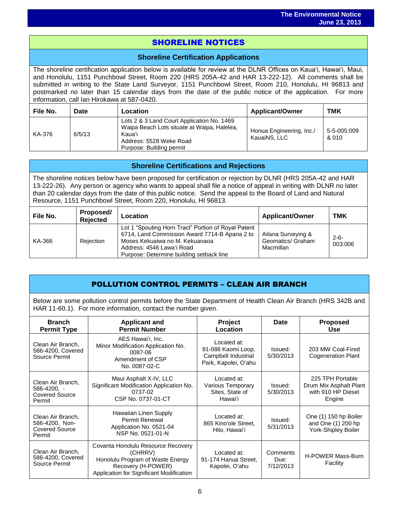## i<br>I SHORELINE NOTICES

## **Shoreline Certification Applications**

The shoreline certification application below is available for review at the DLNR Offices on Kauaʻi, Hawaiʻi, Maui, and Honolulu, 1151 Punchbowl Street, Room 220 (HRS 205A-42 and HAR 13-222-12). All comments shall be submitted in writing to the State Land Surveyor, 1151 Punchbowl Street, Room 210, Honolulu, HI 96813 and postmarked no later than 15 calendar days from the date of the public notice of the application. For more information, call Ian Hirokawa at 587-0420.

| File No. | Date   | Location                                                                                                                                                   | <b>Applicant/Owner</b>                   | <b>TMK</b>           |
|----------|--------|------------------------------------------------------------------------------------------------------------------------------------------------------------|------------------------------------------|----------------------|
| KA-376   | 6/5/13 | Lots 2 & 3 Land Court Application No. 1469<br>Waipa Beach Lots situate at Waipa, Halelea,<br>Kauaʻi<br>Address: 5528 Weke Road<br>Purpose: Building permit | Honua Engineering, Inc./<br>KauaiNS, LLC | 5-5-005:009<br>& 010 |

## **Shoreline Certifications and Rejections**

The shoreline notices below have been proposed for certification or rejection by DLNR (HRS 205A-42 and HAR 13-222-26). Any person or agency who wants to appeal shall file a notice of appeal in writing with DLNR no later than 20 calendar days from the date of this public notice. Send the appeal to the Board of Land and Natural Resource, 1151 Punchbowl Street, Room 220, Honolulu, HI 96813.

| File No. | Proposed/<br><b>Rejected</b> | Location                                                                                                                                                                                                        | <b>Applicant/Owner</b>                               | <b>TMK</b>           |
|----------|------------------------------|-----------------------------------------------------------------------------------------------------------------------------------------------------------------------------------------------------------------|------------------------------------------------------|----------------------|
| KA-366   | Rejection                    | Lot 1 "Spouting Horn Tract" Portion of Royal Patent<br>6714, Land Commission Award 7714-B Apana 2 to<br>Moses Kekuaiwa no M. Kekuanaoa<br>Address: 4546 Lawa'i Road<br>Purpose: Determine building setback line | Ailana Surveying &<br>Geomatics/ Graham<br>Macmillan | $2 - 6 -$<br>003:006 |

## POLLUTION CONTROL PERMITS – CLEAN AIR BRANCH

Below are some pollution control permits before the State Department of Health Clean Air Branch (HRS 342B and HAR 11-60.1). For more information, contact the number given.

| <b>Branch</b><br><b>Permit Type</b>                                        | <b>Applicant and</b><br><b>Permit Number</b>                                                                                                        | <b>Project</b><br>Location                                                       | Date                          | <b>Proposed</b><br><b>Use</b>                                              |
|----------------------------------------------------------------------------|-----------------------------------------------------------------------------------------------------------------------------------------------------|----------------------------------------------------------------------------------|-------------------------------|----------------------------------------------------------------------------|
| Clean Air Branch.<br>586-4200, Covered<br>Source Permit                    | AES Hawai'i, Inc.<br>Minor Modification Application No.<br>0087-06<br>Amendment of CSP<br>No. 0087-02-C                                             | Located at:<br>91-086 Kaomi Loop,<br>Campbell Industrial<br>Park, Kapolei, Oʻahu | Issued:<br>5/30/2013          | 203 MW Coal-Fired<br><b>Cogeneration Plant</b>                             |
| Clean Air Branch,<br>$586 - 4200$ , $-$<br><b>Covered Source</b><br>Permit | Maui Asphalt X-IV, LLC<br>Significant Modification Application No.<br>0737-02<br>CSP No. 0737-01-CT                                                 | Located at:<br>Various Temporary<br>Sites, State of<br>Hawaiʻi                   | Issued:<br>5/30/2013          | 225 TPH Portable<br>Drum Mix Asphalt Plant<br>with 910 HP Diesel<br>Engine |
| Clean Air Branch,<br>586-4200, Non-<br><b>Covered Source</b><br>Permit     | Hawaiian Linen Supply<br><b>Permit Renewal</b><br>Application No. 0521-04<br>NSP No. 0521-01-N                                                      | Located at:<br>865 Kino'ole Street,<br>Hilo, Hawai'i                             | Issued:<br>5/31/2013          | One (1) 150 hp Boiler<br>and One (1) 200 hp<br>York-Shipley Boiler         |
| Clean Air Branch.<br>586-4200, Covered<br>Source Permit                    | Covanta Honolulu Resource Recovery<br>(CHRRV)<br>Honolulu Program of Waste Energy<br>Recovery (H-POWER)<br>Application for Significant Modification | Located at:<br>91-174 Hanua Street,<br>Kapolei, O'ahu                            | Comments<br>Due:<br>7/12/2013 | H-POWER Mass-Burn<br>Facility                                              |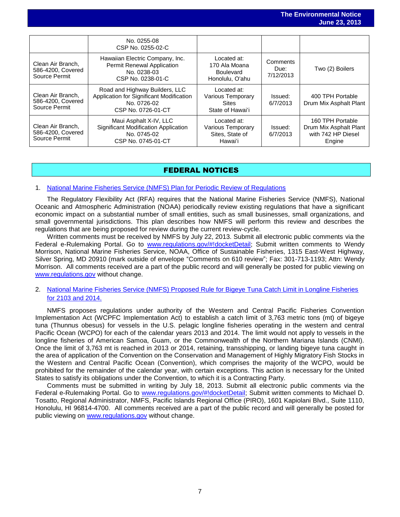|                                                         |                                                                                                                 |                                                                      |                               | $94119 = 91219$                                                            |
|---------------------------------------------------------|-----------------------------------------------------------------------------------------------------------------|----------------------------------------------------------------------|-------------------------------|----------------------------------------------------------------------------|
|                                                         |                                                                                                                 |                                                                      |                               |                                                                            |
|                                                         | No. 0255-08<br>CSP No. 0255-02-C                                                                                |                                                                      |                               |                                                                            |
| Clean Air Branch.<br>586-4200, Covered<br>Source Permit | Hawaiian Electric Company, Inc.<br><b>Permit Renewal Application</b><br>No. 0238-03<br>CSP No. 0238-01-C        | Located at:<br>170 Ala Moana<br><b>Boulevard</b><br>Honolulu, O'ahu  | Comments<br>Due:<br>7/12/2013 | Two (2) Boilers                                                            |
| Clean Air Branch,<br>586-4200, Covered<br>Source Permit | Road and Highway Builders, LLC<br>Application for Significant Modification<br>No. 0726-02<br>CSP No. 0726-01-CT | Located at:<br>Various Temporary<br><b>Sites</b><br>State of Hawai'i | Issued:<br>6/7/2013           | 400 TPH Portable<br>Drum Mix Asphalt Plant                                 |
| Clean Air Branch,<br>586-4200, Covered<br>Source Permit | Maui Asphalt X-IV, LLC<br>Significant Modification Application<br>No. 0745-02<br>CSP No. 0745-01-CT             | Located at:<br>Various Temporary<br>Sites, State of<br>Hawai'i       | Issued:<br>6/7/2013           | 160 TPH Portable<br>Drum Mix Asphalt Plant<br>with 742 HP Diesel<br>Engine |

## FEDERAL NOTICES

### 1. [National Marine Fisheries Service \(NMFS\) Plan for Periodic Review of Regulations](http://www.gpo.gov/fdsys/pkg/FR-2013-06-20/pdf/2013-14759.pdf)

The Regulatory Flexibility Act (RFA) requires that the National Marine Fisheries Service (NMFS), National Oceanic and Atmospheric Administration (NOAA) periodically review existing regulations that have a significant economic impact on a substantial number of small entities, such as small businesses, small organizations, and small governmental jurisdictions. This plan describes how NMFS will perform this review and describes the regulations that are being proposed for review during the current review-cycle.

Written comments must be received by NMFS by July 22, 2013. Submit all electronic public comments via the Federal e-Rulemaking Portal. Go to [www.regulations.gov/#!docketDetail;](http://www.regulations.gov/#!docketDetail) Submit written comments to Wendy Morrison, National Marine Fisheries Service, NOAA, Office of Sustainable Fisheries, 1315 East-West Highway, Silver Spring, MD 20910 (mark outside of envelope "Comments on 610 review"; Fax: 301-713-1193; Attn: Wendy Morrison. All comments received are a part of the public record and will generally be posted for public viewing on [www.regulations.gov](http://www.regulations.gov/) without change.

### 2. [National Marine Fisheries Service \(NMFS\) Proposed Rule for Bigeye Tuna Catch Limit in Longline Fisheries](http://www.gpo.gov/fdsys/pkg/FR-2013-06-18/pdf/2013-14337.pdf)  [for 2103 and 2014.](http://www.gpo.gov/fdsys/pkg/FR-2013-06-18/pdf/2013-14337.pdf)

NMFS proposes regulations under authority of the Western and Central Pacific Fisheries Convention Implementation Act (WCPFC Implementation Act) to establish a catch limit of 3,763 metric tons (mt) of bigeye tuna (Thunnus obesus) for vessels in the U.S. pelagic longline fisheries operating in the western and central Pacific Ocean (WCPO) for each of the calendar years 2013 and 2014. The limit would not apply to vessels in the longline fisheries of American Samoa, Guam, or the Commonwealth of the Northern Mariana Islands (CNMI). Once the limit of 3,763 mt is reached in 2013 or 2014, retaining, transshipping, or landing bigeye tuna caught in the area of application of the Convention on the Conservation and Management of Highly Migratory Fish Stocks in the Western and Central Pacific Ocean (Convention), which comprises the majority of the WCPO, would be prohibited for the remainder of the calendar year, with certain exceptions. This action is necessary for the United States to satisfy its obligations under the Convention, to which it is a Contracting Party.

Comments must be submitted in writing by July 18, 2013. Submit all electronic public comments via the Federal e-Rulemaking Portal. Go to [www.regulations.gov/#!docketDetail;](http://www.regulations.gov/#!docketDetail) Submit written comments to Michael D. Tosatto, Regional Administrator, NMFS, Pacific Islands Regional Office (PIRO), 1601 Kapiolani Blvd., Suite 1110, Honolulu, HI 96814-4700. All comments received are a part of the public record and will generally be posted for public viewing on [www.regulations.gov](http://www.regulations.gov/) without change.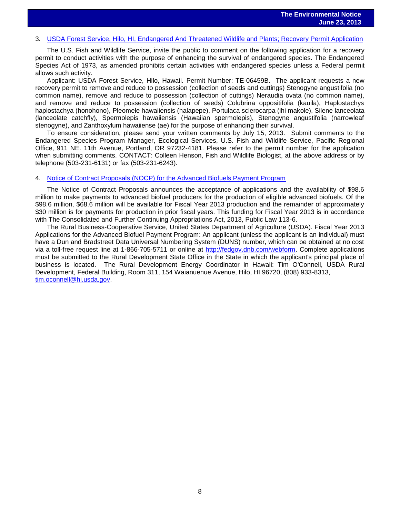# 3. [USDA Forest Service, Hilo, HI, Endangered And Threatened Wildlife and Plants; Recovery Permit Application](http://www.gpo.gov/fdsys/pkg/FR-2013-06-14/pdf/2013-14134.pdf)

The U.S. Fish and Wildlife Service, invite the public to comment on the following application for a recovery permit to conduct activities with the purpose of enhancing the survival of endangered species. The Endangered Species Act of 1973, as amended prohibits certain activities with endangered species unless a Federal permit allows such activity.

Applicant: USDA Forest Service, Hilo, Hawaii. Permit Number: TE-06459B. The applicant requests a new recovery permit to remove and reduce to possession (collection of seeds and cuttings) Stenogyne angustifolia (no common name), remove and reduce to possession (collection of cuttings) Neraudia ovata (no common name), and remove and reduce to possession (collection of seeds) Colubrina oppositifolia (kauila), Haplostachys haplostachya (honohono), Pleomele hawaiiensis (halapepe), Portulaca sclerocarpa (ihi makole), Silene lanceolata (lanceolate catchfly), Spermolepis hawaiiensis (Hawaiian spermolepis), Stenogyne angustifolia (narrowleaf stenogyne), and Zanthoxylum hawaiiense (ae) for the purpose of enhancing their survival.

To ensure consideration, please send your written comments by July 15, 2013. Submit comments to the Endangered Species Program Manager, Ecological Services, U.S. Fish and Wildlife Service, Pacific Regional Office, 911 NE. 11th Avenue, Portland, OR 97232-4181. Please refer to the permit number for the application when submitting comments. CONTACT: Colleen Henson, Fish and Wildlife Biologist, at the above address or by telephone (503-231-6131) or fax (503-231-6243).

#### 4. [Notice of Contract Proposals \(NOCP\) for the Advanced Biofuels Payment Program](http://www.gpo.gov/fdsys/pkg/FR-2013-06-11/pdf/2013-13778.pdf)

The Notice of Contract Proposals announces the acceptance of applications and the availability of \$98.6 million to make payments to advanced biofuel producers for the production of eligible advanced biofuels. Of the \$98.6 million, \$68.6 million will be available for Fiscal Year 2013 production and the remainder of approximately \$30 million is for payments for production in prior fiscal years. This funding for Fiscal Year 2013 is in accordance with The Consolidated and Further Continuing Appropriations Act, 2013, Public Law 113-6.

The Rural Business-Cooperative Service, United States Department of Agriculture (USDA). Fiscal Year 2013 Applications for the Advanced Biofuel Payment Program: An applicant (unless the applicant is an individual) must have a Dun and Bradstreet Data Universal Numbering System (DUNS) number, which can be obtained at no cost via a toll-free request line at 1-866-705-5711 or online at [http://fedgov.dnb.com/webform.](http://fedgov.dnb.com/webform) Complete applications must be submitted to the Rural Development State Office in the State in which the applicant's principal place of business is located. The Rural Development Energy Coordinator in Hawaii: Tim O'Connell, USDA Rural Development, Federal Building, Room 311, 154 Waianuenue Avenue, Hilo, HI 96720, (808) 933-8313, [tim.oconnell@hi.usda.gov.](mailto:tim.oconnell@hi.usda.gov)